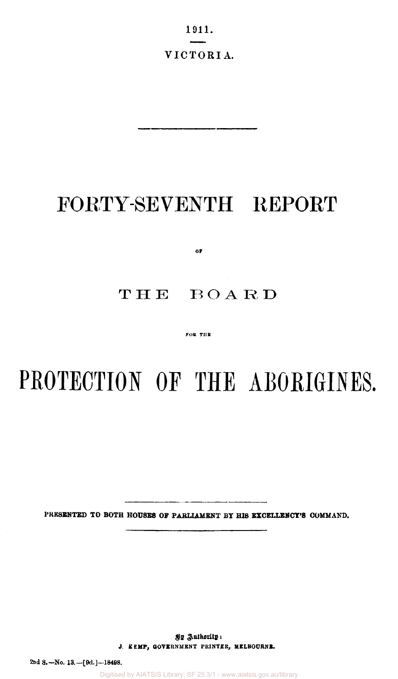1911. VICTORIA.

# FORTY-SEVENTH REPORT

**OF** 

# THE BOARD

#### FOR THE

# **PROTECTION OF THE ABORIGINES.**

PRESENTED TO BOTH HOUSES OF PARLIAMENT BY HIS EXCELLENCY'S COMMAND.

**By Authority: J. KEMP, GOVERNMENT PRINTER, MELBOURNE.** 

**2nd S.— No. 13.—[9d.]—18498.** 

Digitised by AIATSIS Library, SF 25.3/1 - www.aiatsis.gov.au/library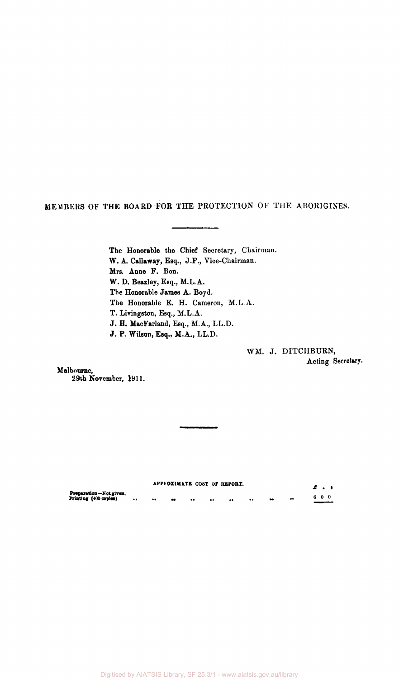MEMBERS OF THE BOARD FOR THE PROTECTION OF THE ABORIGINES.

The Honorable the Chief Secretary, Chairman. W. A. Callaway, Esq., J.P., Vice-Chairman. Mrs. Anne F. Bon. W. D. Beazley, Esq., M.L.A. The Honorable James A. Boyd. The Honorable E. H. Cameron, M.L A. T. Livingston, Esq., M.L.A. J. H. MacFarland, Esq., M.A., LL.D. J. P. Wilson, Esq., M.A., LL.D.

> WM. J. DITCHBURN, Acting Secretary.

Melbourne, 29th November, 1911.

|                                                 |                         |    |                     |                  | APPEOXIMATE COST OF REPORT. |                      |  |     | . |
|-------------------------------------------------|-------------------------|----|---------------------|------------------|-----------------------------|----------------------|--|-----|---|
| Preparation-Not given.<br>Printing (400 copies) | <br>$^{\bullet\bullet}$ | 68 | $^{\bullet\bullet}$ | $\bullet\bullet$ | $\bullet\bullet$            | <br>$\bullet\bullet$ |  | 600 |   |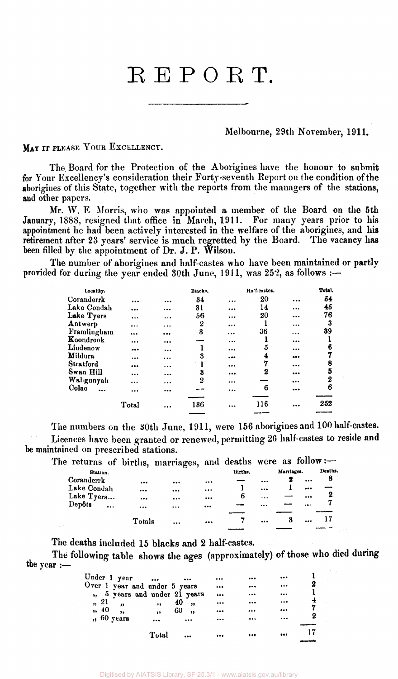# REPORT.

#### Melbourne, 29th November, 1911.

MAY IT PLEASE YOUR EXCELLENCY.

The. Board for the Protection of the Aborigines have the honour to submit for Your Excellency's consideration their Forty-seventh Report on the condition of the aborigines of this State, together with the reports from the managers of the stations, and other papers.

Mr. W. E Morris, who was appointed a member of the Board on the 5th January, 1888, resigned that office in March, 1911. For many years prior to his appointment he had been actively interested in the welfare of the aborigines, and his retirement after 23 years' service is much regretted by the Board. The vacancy has been filled by the appointment of Dr. J. P. Wilson.

The number of aborigines and half-castes who have been maintained or partly provided for during the year ended 30th June, 1911, was 252, as follows :—

| Locality.   |           |          | Blacks. |           | Ha'f-castes. |          | Total. |
|-------------|-----------|----------|---------|-----------|--------------|----------|--------|
| Coranderrk  |           |          | 34      | $\cdots$  | 20           |          | 54     |
| Lake Condah |           | $\cdots$ | 31      |           | 14           |          | 45     |
| Lake Tyers  |           | $\cdots$ | 56      |           | 20           |          | 76     |
| Antwerp     | $\cdots$  | .        | 2       | $\cdots$  |              |          | 3      |
| Framlingham |           |          | 3       |           | 36           |          | 39     |
| Koondrook   | $\cdots$  |          |         | $\cdots$  |              |          |        |
| Lindenow    |           | $\cdots$ |         |           | ő            | $\cdots$ | 6      |
| Mildura     |           | $\cdots$ | 3       |           | 4            |          |        |
| Stratford   |           | $\cdots$ |         |           |              |          | 8      |
| Swan Hill   | $\ddotsc$ |          | 3       |           | 2            |          | 5      |
| Wahgunyah   |           |          | 2       | $\ddotsc$ |              |          | 2      |
| Colac       |           |          |         |           | 6            |          | 6      |
|             | .         |          |         |           |              |          |        |
|             | Total     |          | 136     |           | 116          |          | 252    |
|             |           |          |         |           |              |          |        |

The numbers on the 30th June, 1911, were 156 aborigines and 100 half-castes. Licences have been granted or renewed, permitting 26 half-castes to reside and be maintained on prescribed stations.

|             |           |        | The returns of births, marriages, and deaths were as follow :- |         |           |            |          |         |
|-------------|-----------|--------|----------------------------------------------------------------|---------|-----------|------------|----------|---------|
| Station.    |           |        |                                                                | Births. |           | Marriages. |          | Deaths. |
| Coranderrk  |           |        |                                                                |         |           |            | $\cdots$ | 8       |
| Lake Condah |           |        | $\cdots$                                                       |         | $\cdots$  |            |          |         |
| Lake Tyers  |           |        |                                                                | <br>6   | $\ddotsc$ |            |          | 2       |
| Depôts      | $\ddotsc$ |        | $\cdots$                                                       |         |           |            |          |         |
|             |           |        |                                                                |         |           |            |          |         |
|             |           | Totals |                                                                |         |           | 3          |          |         |
|             |           |        |                                                                |         |           |            |          |         |

The deaths included 15 blacks and 2 half-castes.

The following table shows the ages (approximately) of those who died during the year :—

| Under 1 year<br>$\bullet\bullet\bullet$<br> |                         | <br>         |    |
|---------------------------------------------|-------------------------|--------------|----|
| Over 1 year and under 5 years               |                         | <br>$\cdots$ | 2  |
| ", 5 years and under 21 years               |                         | <br>$\cdots$ |    |
| " 21<br>40,<br>,<br>$\overline{\mathbf{r}}$ | $\cdots$                | <br>         |    |
| , 40,<br>60<br>,<br>$\rightarrow$           | $\bullet\bullet\bullet$ | <br>         |    |
| ", 60 years<br><br>$\cdots$                 |                         | <br>         | 2  |
| Total<br>$\cdots$                           |                         | <br>         | 17 |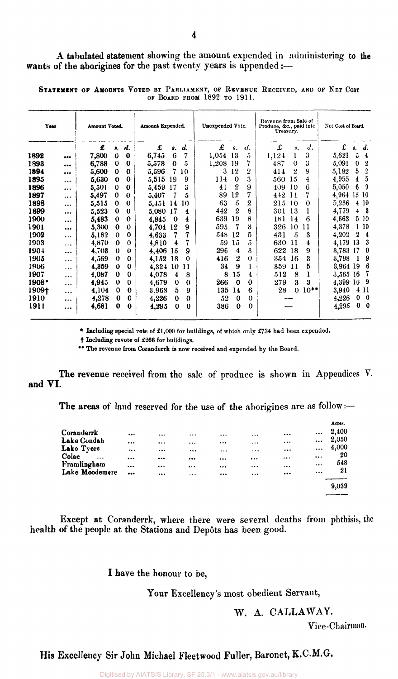| Year    |          | Amount Voted. |             |                    | Amount Expended. |          |          | Unexpended Vote. |                |          | Revenue from Sale of | Produce, &c., paid into<br>Treasury. |         |          | Net Cost of Board. |                  |
|---------|----------|---------------|-------------|--------------------|------------------|----------|----------|------------------|----------------|----------|----------------------|--------------------------------------|---------|----------|--------------------|------------------|
|         |          | £             | 8.          | $\boldsymbol{d}$ . | £                | s.       | d.       | £                | 8.             | d.       | £                    | s.                                   | d.      | £        | s.                 | d.               |
| 1892    |          | 7,800         | $\mathbf 0$ | $\bf{0}$           | 6,745            | 6        | 7        | 1,054            | 13             | 5        | 1,124                | l                                    | 3       | 5,621    | 5                  | $\overline{4}$   |
| 1893    |          | 6,788         | $\bf{0}$    | $\bf{0}$           | 5,578            | $\bf{0}$ | 5        | 1,208            | 19             | 7        | 487                  | $\Omega$                             | 3       | 5,091    | 0                  | $\boldsymbol{2}$ |
| 1894    |          | 5,600         | $\bf{0}$    | $\bf{0}$           | 5,596            | 7        | 10       | 3                | 12             | 2        | 414                  | 2                                    | 8       | 5,182    | 5                  | 2                |
| 1895    | $\cdots$ | 5,630         | 0           | 0                  | 5,515            | 19       | 9        | 114              | $\bf{0}$       | 3        | 560 15               |                                      | 4       | 4,955    | 4                  | 5                |
| 1896    |          | 5,501         | $\theta$    | $\bf{0}$           | 5,459            | 17       | З        | 41               | 2              | 9        | 409                  | -10                                  | 6       | 5,050    | 6                  | 9                |
| 1897    | $\cdots$ | 5,497         | $\bf{0}$    | $\bf{0}$           | 5,407            | 7        | 5        | 89               | 12             | 7        | 442                  | 11                                   |         | 4.964    | 15                 | 10               |
| 1898    | $\cdots$ | 5.515         | $\bf{0}$    | 0                  | 5.451            | 14       | 10       | 63               | 5              | 2        | 215                  | 10                                   | 0       | 5,236    |                    | 4 10             |
| 1899    |          | 5,523         | 0           | $\bf{0}$           | 5,080            | 17       | 4        | 442              | 2              | 8        | 301                  | 13                                   | 1       | 4,779    | 4                  | - 3              |
| 1900    |          | 5,483         | 0           | $\Omega$           | 4,845            | $\bf{0}$ | 4        | 639              | 19             | 8        | 181                  | 14                                   | 6       | 4,663    |                    | 5 10             |
| 1901    |          | 5,300         | 0           | 0                  | 4.704            | 12       | 9        | 595              |                | 3        | 326                  | 10                                   | 11      | 4,378    |                    | 110              |
| 1902    | $\cdots$ | 5,182         | $\Omega$    | $\mathbf 0$        | 4,633            | 7        |          | 548              | 12             | 5        | 431                  | 5                                    | 3       | 4,202    | 2                  | 4                |
| 1903    | .        | 4,870         | $\bf{0}$    | $\theta$           | 4,810            | 4        |          | 59               | 15             | 5        | 630                  | -11                                  | 4       | 4,179    | 13                 | 3                |
| 1904    |          | 4,708         | 0           | $\bf{0}$           | 4,406            | 15       | 9        | 296              | $\overline{4}$ | 3        | 622                  | -18                                  | 9       | 3,783    | 17                 | $\bf{0}$         |
| 1905    |          | 4,569         | $\bf{0}$    | $\bf o$            | 4,152            | 18       | $\bf{0}$ | 416              | 2              | $\Omega$ | 354 16               |                                      | 3       | 3,798    |                    | 9                |
| 1906    | .        | 4,359         | $\bf{0}$    | 0                  | 4,324            | -10      | 11       | 34               | 9              |          | 359 11               |                                      | 5       | 3,964 19 |                    | 6                |
| 1907    |          | 4,087         | 0           | $\Omega$           | 4.078            | 4        | 8        | 8                | 15             | 4        | 512                  | 8                                    | 1       | 3,565    | 16                 | 7                |
| $1908*$ |          | 4,945         | 0           | $\theta$           | 4,679            | 0        | $\bf{0}$ | 266              | $\Omega$       | $\Omega$ | 279                  | 3                                    | 3       | 4,399    | 16                 | 9                |
| 1909†   |          | 4,104         | 0           | $\bf{0}$           | 3,968            | 5        | 9        | 135              | 14             | 6        | 28                   | 0                                    | $10***$ | 3,940    |                    | 4 11             |
| 1910    | $\cdots$ | 4,278         | $\bf{0}$    | 0                  | 4,226            | 0        | $\Omega$ | 52               | $\bf{0}$       | $\Omega$ |                      |                                      |         | 4,226    |                    | $0\quad 0$       |
| 191 I   | $\cdots$ | 4,681         | 0           | 0                  | 4,295            | 0        | $\theta$ | 386              | $\bf{0}$       | 0        |                      |                                      |         | 4,295    |                    | $0\quad 0$       |

STATEMENT OF AMOUNTS VOTED BY PARLIAMENT, OF REVENUE RECEIVED, AND OF NET COST OF BOARD FROM 1892 TO 1911.

\* Including special vote of £1,000 for buildings, of which only £734 had been expended,

 $\dagger$  Including revote of £266 for buildings.

\*\* The revenue from Coranderrk is now received and expended by the Board,

The revenue received from the sale of produce is shown in Appendices V. and VI.

The areas of land reserved for the use of the aborigines are as follow :-

|                    |          |          |          |          |          |                         |          | ACTO8. |
|--------------------|----------|----------|----------|----------|----------|-------------------------|----------|--------|
| Coranderrk         | $\cdots$ |          |          |          | $\cdots$ |                         |          | 2,400  |
| Lake Condah        |          | $\cdots$ |          |          | $\cdots$ | $\bullet$ $\bullet$     | $\cdots$ | 2,050  |
| Lake Tyers         | $\cdots$ | $\cdots$ | $\cdots$ | $\cdots$ | $\cdots$ |                         | $\cdots$ | 4,000  |
| Colac<br>$\ddotsc$ | $\cdots$ |          | $\cdots$ |          |          | $\cdots$                | $\cdots$ | 20     |
| Framlingham        |          | $\cdots$ | $\cdots$ | $\cdots$ | $\cdots$ |                         | $\cdots$ | 548    |
| Lake Moodemere     |          | $\cdots$ | $\cdots$ | $\cdots$ |          | $\bullet\bullet\bullet$ | $\cdots$ | 21     |
|                    |          |          |          |          |          |                         |          | 9,039  |
|                    |          |          |          |          |          |                         |          |        |

Except at Coranderrk, where there were several deaths from phthisis, the health of the people at the Stations and Dep6ts has been good.

I have the honour to be,

Your Excellency's most obedient Servant,

## W. A. CALLAWAY.

Vice-Chairman.

His Excellency Sir John Michael Fleetwood Fuller, Baronet, K.C.M.G.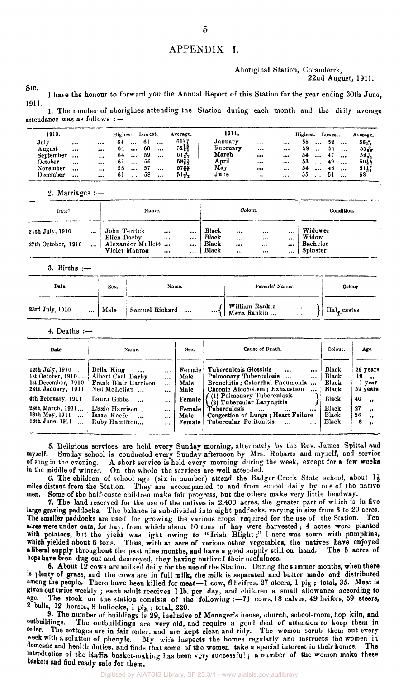#### APPENDIX I.

Aboriginal Station, Coranderrk, 22nd August, 1911.

SIR, I have the honour to forward you the Annual Report of this Station for the year ending 30th June, 1911.

1. The number of aborigines attending the Station during each month and the daily average attendance was as follows : —

| 1910.     |          |          | Highest. Lowest. |             |     |           | Average.                     | 1911.    |                         |          | Highest. |          | Lowest. |          | Average.        |
|-----------|----------|----------|------------------|-------------|-----|-----------|------------------------------|----------|-------------------------|----------|----------|----------|---------|----------|-----------------|
| July      | $\cdots$ | $\cdots$ | 61.              | $\cdots$    | 6 L | $\cdots$  | $61\frac{2}{3}$ <sup>9</sup> | January  |                         | $\cdots$ | 58       | $\cdots$ | -52     | $\cdots$ | $56 +$          |
| August    | $\cdots$ | $\cdots$ |                  | $64 \ldots$ | 60  | $\ddotsc$ | $62 - 1$                     | February | $\cdots$                | $\cdots$ | 59       | $\cdots$ | 51      | $\cdots$ | $55 - 27$       |
| September | $\cdots$ | $\cdots$ |                  | 64          | 59  | $\cdots$  | $61 +$                       | March    | $\bullet\bullet\bullet$ |          | 54       | $\cdots$ | -47     | $\cdots$ | $52\frac{8}{3}$ |
| October   | $\cdots$ |          | 61.              | $\cdots$    | 56  | $\cdots$  | 5844                         | April    |                         |          | 53       | $\cdots$ | 49.     | $\cdots$ | $50+4$          |
| November  |          | $\cdots$ | 58               | $\cdots$    | 57  | $\cdots$  | $57+1$                       | May      |                         |          | 54.      | $\cdots$ | -18     | $\cdots$ | 5117            |
| December  |          | $\cdots$ | 61               | $\cdots$    | 58  |           | $51 +$                       | June     | $\ddot{\phantom{0}}$    | $\cdots$ | 55.      | $\cdots$ | 5 I     | $\cdots$ | 53              |

2. Marriages :—

| Date?              |           | Name.                              |          |              |                | Colour.      |                      | Condition. |                      |  |
|--------------------|-----------|------------------------------------|----------|--------------|----------------|--------------|----------------------|------------|----------------------|--|
| 27th July, 1910    | $\cdots$  | John Terrick<br>Ellen Darby        | <br>     | <br>$\cdots$ | Black<br>Black | <br>$\cdots$ | $\cdots$<br>$\cdots$ | <br>       | Widower<br>Widow     |  |
| 27th October, 1910 | $\ddotsc$ | Alexander Mullett<br>Violet Manton | $\cdots$ | $\cdots$<br> | Black<br>Black | <br>         | <br>                 | <br>       | Bachelor<br>Spinster |  |

3. Births :—

| Date.<br>Sex.               |      | Name.                      | Parents' Names.                                                    | Colour                     |  |  |
|-----------------------------|------|----------------------------|--------------------------------------------------------------------|----------------------------|--|--|
| 23rd July, 1910<br>$\cdots$ | Male | Samuel Richard<br>$\cdots$ | \  William Rankin \ <br>\\ Mena Rankin \ <br>$\sim$ 0.00 $\pm$<br> | $H$ al <sub>f-castes</sub> |  |  |

4. Deaths :—

| Date.                                                                                                                                                                              | Name.                                                                                                                                                                         |                                                                                                | Sex.                                                                 | Cause of Death.                                                                                                                                                                                                                                                                                                                                         | Colour.                                                                     | Age.                                                                                                                               |
|------------------------------------------------------------------------------------------------------------------------------------------------------------------------------------|-------------------------------------------------------------------------------------------------------------------------------------------------------------------------------|------------------------------------------------------------------------------------------------|----------------------------------------------------------------------|---------------------------------------------------------------------------------------------------------------------------------------------------------------------------------------------------------------------------------------------------------------------------------------------------------------------------------------------------------|-----------------------------------------------------------------------------|------------------------------------------------------------------------------------------------------------------------------------|
| $12th$ July, $1910$<br>1st October, 1910<br>1st December, 1910<br>28th January, 1911<br>4th February, 1911<br>28th March, 1911<br>18th May, $1911$<br>18th June, 1911<br>$\ddotsc$ | Bella King<br>$\cdots$<br>Albert Carl Darby<br>Frank Blair Harrison<br>Ned McLellan<br>Laura Gibbs<br>$\cdots$<br>Lizzie Harrison<br>Isaac Keefe<br>$\cdots$<br>Ruby Hamilton | $\ddotsc$<br>$\cdots$<br>$\cdots$<br>$\cdots$<br>$\cdots$<br>$\cdots$<br>$\cdots$<br>$\ddotsc$ | Female<br>Male<br>Male<br>Male<br>Female<br>Female<br>Male<br>Female | Tuberculosis Glossitis<br>$\ddotsc$<br><br>Pulmonary Tuberculosis<br>$\cdots$<br>Bronchitis: Catarrhal Pneumonia<br>Chronic Alcoholism : Exhaustion<br><br>(1) Pulmonary Tuberculosis<br>(2) Tubercular Laryngitis<br>Tuberculosis<br>$\cdots$<br>$\cdots$<br><br>Congestion of Lungs; Heart Failure<br>Tubercular Peritonitis<br>$\ddotsc$<br>$\cdots$ | Black<br>Black<br>Black<br>Black<br>Black<br><b>Black</b><br>Black<br>Black | 26 years<br>19<br>$\rightarrow$<br>l year<br>59 years<br>40<br>$\rightarrow$<br>27<br>$\bullet$<br>26<br>$\cdot$<br>8<br>$\bullet$ |

5. Religious services are held every Sunday morning, alternately by the Rev. James Spittal and myself. Sunday school is conducted every Sunday afternoon by Mrs. Robarts and myself, and service Sunday school is conducted every Sunday afternoon by Mrs. Robarts and myself, and service of song in the evening. A short service is held every morning during the week, except for a few weeks in the middle of winter. On the whole the services are well attended.

6. The children of school age (six in number) attend the Badger Creek State school, about  $1\frac{1}{2}$ miles distant from the Station. They are accompanied to and from school daily by one of the native men. Some of the half-caste children make fair progress, but the others make very little headway.

7. The land reserved for the use of the natives is 2,400 acres, the greater part of which is in five large grazing paddocks. The balance is sub-divided into eight paddocks, varying in size from 3 to 20 acres. The smaller paddocks are used for growing the various crops required for the use of the Station. Ten acres were under oats, for hay, from which about 10 tons of hay were harvested; 4 acres were planted with potatoes, but the yield was light owing to "Irish Blight;" 1 acre was sown with pumpkins, which yielded about 6 tons. Thus, with an acre of various other vegetables, the natives have enjoyed a liberal supply throughout the past nine months, and have a good supply still on hand. The 5 acres of hops have been dug out and destroyed, they having outlived their usefulness.

8. About 12 cows are milked daily for the use of the Station. During the summer months, when there is plenty of grass, and the cows are in full milk, the milk is separated and butter made and distributed <sup>among</sup> the people. There have been killed for meat—1 cow, 6 heifers, 27 steers, 1 pig ; total, 35. Meat is given out twice weekly ; each adult receives 1 lb. per day, and children a small allowance according to age. The stock on the station consists of the following :—71 cows, 18 calves, 49 heifers, 59 steers, 2 bulls, 12 horses, 8 bullocks, 1 pig ; total, 220.

9. The number of buildings is 29, inclusive of Manager's house, church, school-room, hop kiln, and outbuildings. The outbuildings are very old, and require a good deal of attention to keep them in outbuildings. The outbuildings are very old, and require a good deal of attention to keep them in order. The cottages are in fair order, and are kept clean and tidy. The women scrub them out every week with a solution of phenyle. My wife inspects the homes regularly and instructs the women in domestic and health duties, and finds that some of the women take a special interest in their homes. The introduction of the Raffia basket-making has been very successful ; a number of the women make these baskets and find ready sale for them.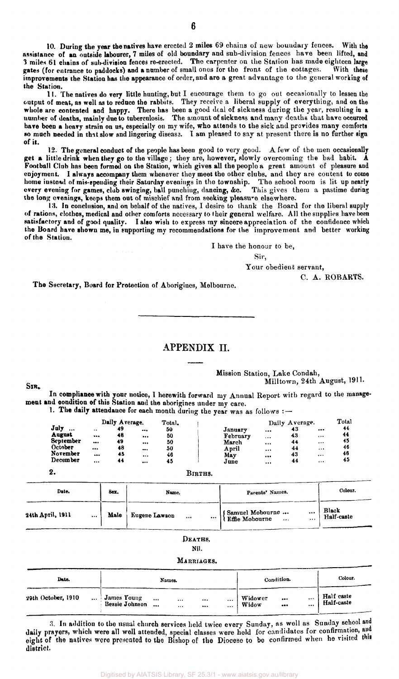**10. During the year the natives have erected 2 miles 69 chains of new boundary fences. With the assistance of an outside labourer, 7 miles of old boundary and sub-division fences have been lifted, and 3 miles 61 chains of sub-division fences re-erected. The carpenter on the Station has made eighteen large**  gates (for entrance to paddocks) and a number of small ones for the front of the cottages. improvements the Station has the appearance of order, and are a great advantage to the general working of **the Station.** 

**11. The natives do very little hunting,but I encourage them to go out occasionally to lessen the output of meat, as well as to reduce the rabbits. They receive a liberal supply of everything, and on the whole are contented and happy. There has been a good deal of sickness during the year, resulting in a number of deaths, mainly due to tuberculosis. The amount of sickness and many deaths that have occurred have been a heavy strain on us, especially on my wife, who attends to the sick and provides many comforts so much needed in that slow and lingering disease. I am pleased to say at present there is no further sign of it.** 

**12. The general conduct of the people has been good to very good. A few of the men occasionally get a little drink when they go to the village; they are, however, slowly overcoming the bad habit. A Football Club has been formed on the Station, which gives all the people a great amount of pleasure and enjoyment. I always accompany them whenever they meet the other clubs, and they are content to come home instead of mis-spending their Saturday evenings in the township. The school room is lit up nearly every evening for games, club swinging, ball punching, dancing, &c. This gives them a pastime during the long evenings, keeps them out of mischief and from seeking pleasure elsewhere.** 

**13. In conclusion, and on behalf of the natives, I desire to thank the Board for the liberal supply of rations, clothes, medical and other comforts necessary to their general welfare. All the supplies have been satisfactory and of good quality. I also wish to express my sincere appreciation of the confidence which the Board have shown me, in supporting my recommendations for the improvement and better working of the Station.** 

**I have the honour to be,** 

**Sir,** 

**Your obedient servant,** 

**C. A . ROBARTS.** 

**The Secretary, Board for Protection of Aborigines, Melbourne.** 

#### APPENDIX II.

**Mission Station, Lake Condah, Milltown, 24th August, 1911.** 

**In compliance with your notice, I herewith forward my Annual Report with regard to the management and condition of this Station and the aborigines under my care.** 

1. The daily attendance for each month during the year was as follows : -

|                                            |                                          | Daily Average.       |                | Total.               |                                       |                                  | Daily Average.       |                                              | Total                |
|--------------------------------------------|------------------------------------------|----------------------|----------------|----------------------|---------------------------------------|----------------------------------|----------------------|----------------------------------------------|----------------------|
| July<br><br>August<br>September<br>October | $\ddot{\phantom{0}}$<br><br><br>$\cdots$ | 49<br>48<br>49<br>48 | <br>$$<br><br> | 50<br>50<br>50<br>50 | January<br>February<br>March<br>April | $\cdots$<br>$\cdots$<br>$\cdots$ | 43<br>43<br>44<br>44 | $\cdots$<br>$\cdots$<br>$\cdots$<br>$\cdots$ | 44<br>44<br>45<br>46 |
| November<br>December                       | <br>$\cdots$                             | 45<br>44             | <br>           | 46<br>45             | May<br>June                           | <br><br>                         | 43<br>44             | $\cdots$<br>$\cdots$                         | 46<br>45             |
| 2.                                         |                                          |                      |                |                      | Births.                               |                                  |                      |                                              |                      |

**SIR ,** 

| Date.                        | Sex. | Name.                   | Parents' Names.                                   | Colour.             |  |  |
|------------------------------|------|-------------------------|---------------------------------------------------|---------------------|--|--|
| 24th April, 1911<br>$\cdots$ | Male | Eugene Lawson<br><br>$$ | Samuel Mobourne<br>Rffie Mobourne<br><br>$\cdots$ | Black<br>Half-caste |  |  |
|                              |      |                         |                                                   |                     |  |  |

| Deaths. |
|---------|
|---------|

#### **Nil.**

#### **MARRIAGES.**

| Date.              |                                      |                      | Names.       |      |      | Condition.       | Colour. |              |                          |
|--------------------|--------------------------------------|----------------------|--------------|------|------|------------------|---------|--------------|--------------------------|
| 29th October, 1910 | James Young<br><b>Bessie Johnson</b> | $\cdots$<br>$\cdots$ | $\cdots$<br> | <br> | <br> | Widower<br>Widow | <br>    | $\cdots$<br> | Half caste<br>Half-caste |

**;i. In addition to the usual church services held twice every Sunday, as well as Sunday school and**  daily prayers, which were all well attended, special classes were held for candidates for confirmation, and eight of the natives were presented to the Bishop of the Diocese to be confirmed when he visited this **district.**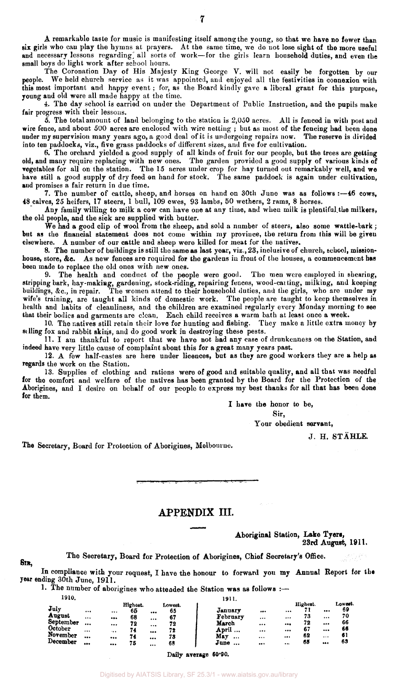A remarkable taste for music is manifesting itself among the young, so that we have no fewer than six girls who can play the hymns at prayers. At the same time, we do not lose sight of the more useful and necessary lessons regarding all sorts of work—for the girls learn household duties, and even the small boys do light work after school hours.

The Coronation Day of His Majesty King George V. will not easily be forgotten by our people. We held church service as it was appointed, and enjoyed all the festivities in connexion with We held church service as it was appointed, and enjoyed all the festivities in connexion with this most important and happy event ; for, as the Board kindly gave a liberal grant for this purpose, young and old were all made happy at the time.

4. The day school is carried on under the Department of Public Instruction, and the pupils make fair progress with their lessons.

5. The total amount of land belonging to the station is 2,050 acres. All is fenced in with post and wire fence, and about 500 acres are enclosed with wire netting ; but as most of the fencing had been done under my supervision many years ago, a good deal of it is undergoing repairs now. The reserve is divided into ten paddocks, viz., five grass paddocks of different sizes, and five for cultivation.

6. The orchard yielded a good supply of all kinds of fruit for our people, but the trees are getting old, and many require replacing with new ones. The garden provided a good supply of various kinds of vegetables for all on the station. The 15 acres under crop for hay turned out remarkably well, and we have still a good supply of dry feed on hand for stock. The same paddock is again under cultivation, and promises a fair return in due time.

7. The number of cattle, sheep, and horses on hand on 30th June was as follows :—46 cows, 48 calves, 25 heifers, 17 steers, 1 bull, 109 ewes, 93 lambs, 50 wethers, 2 rams, 8 horses.

Any family willing to milk a cow can have one at any time, and when milk is plentiful.the milkers, the old people, and the sick are supplied with butter.

We had a good clip of wool from the sheep, and sold a number of steers, also some wattle-bark; but as the financial statement does not come within my province, the return from this will be given elsewhere. A number of our cattle and sheep were killed for meat for the natives.

8. The number of buildings is still the same as last year, viz., 23, inclusive of church, school, missionhouse, store, &c. As new fences are required for the gardens in front of the houses, a commencement has been made to replace the old ones with new ones.

9. The health and conduct of the people were good. The men were employed in shearing, stripping bark, hay-makiag, gardening, stock-riding, repairing fences, wood-carting, milking, and keeping buildings, &c, in repair. The women attend to their household duties, and the girls, who are under my wife's training, are taught all kinds of domestic work. The people are taught to keep themselves in health and habits of cleanliness, and the children are examined regularly every Monday morning to see that their bodies and garments are clean. Each child receives a warm bath at least once a week.

10. The natives still retain their love for hunting and fishing. They make a little extra money by selling fox and rabbit skins, and do good work in destroying these pests.

11. I am thankful to report that we have not had any case of drunkenness on the Station, and indeed have very little cause of complaint about this for a great many years past.

12. A few half-castes are here under licences, but as they are good workers they are a help as regards the work on the Station.

13. Supplies of clothing and rations were of good and suitable quality, and all that was needful for the comfort and welfare of the natives has been granted by the Board for the Protection of the Aborigines, and I desire on behalf of our people to express my best thanks for all that has been done for them.

I have the honor to be,

Sir,

Your obedient servant,

J. H. STAHLE.

The Secretary, Board for Protection of Aborigines, Melbourne.

**SIR,** 

#### APPENDIX III.

Aboriginal Station, **Lake Tyers,**  23rd August, 1911.

The Secretary, Board for Protection of Aborigines, Chief Secretary's Office.

In compliance with your request, I have the honour to forward you my Annual Report for the year ending 30th June, 1911.

1. The number of aborigines who attended the Station was as follows :-

| 1910.           |                         |                         |                |                         |               | 1911.            |          |          |          |    |               |
|-----------------|-------------------------|-------------------------|----------------|-------------------------|---------------|------------------|----------|----------|----------|----|---------------|
| $\mathbf{July}$ | $\cdots$                | $\cdots$                | Highest.<br>65 |                         | Lowest.<br>65 | January          |          |          | Highest. |    | Lowest.<br>69 |
| August          | $\cdots$                | $\bullet\bullet\bullet$ | 68             | $\cdots$                | 67            | February         |          | $\cdots$ | 73       |    | 70            |
| September       |                         | $\cdots$                | 72             |                         | 72            | March            |          |          | 72       | $$ | 66            |
| October         | $\cdots$                |                         | 74             |                         | 72            | April            | $\cdots$ |          | 67       |    | 66            |
| November        |                         |                         | 74             | $\bullet\bullet\bullet$ | 73            | May<br>$\cdots$  |          |          | 62       |    | 61            |
| December        | $\bullet\bullet\bullet$ |                         | 75             |                         | 68            | June<br>$\cdots$ |          | 1.11     | 65       |    | 63            |

Daily average 60-90.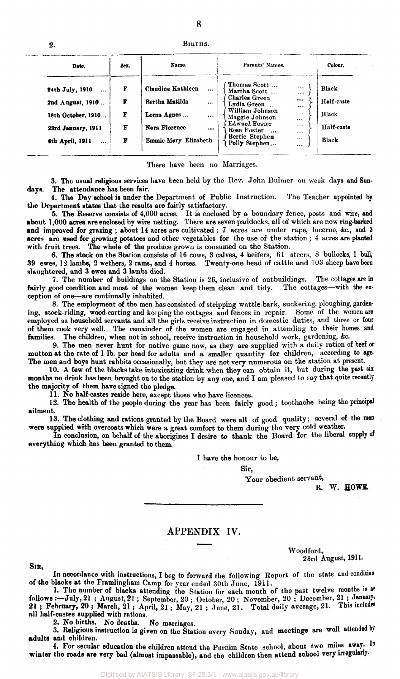| 2. | BIRTHS. |
|----|---------|

8

| Sex.<br>Date.               |   | Name.                                | Parents' Names.                                                         | Colour.    |
|-----------------------------|---|--------------------------------------|-------------------------------------------------------------------------|------------|
| 24th July, 1910<br>$\cdots$ | F | <b>Claudine Kathleen</b><br>$\cdots$ | Thomas Scott<br>$\cdots$<br>Martha Scott<br>                            | Black      |
| 2nd August, 1910            | F | <b>Bertha Matilda</b><br>$\cdots$    | Charles Green<br><br>Lydia Green<br>$\cdots$                            | Half-caste |
| 18th October, 1910          | F | Lorna Agnes<br>                      | William Johnson<br>$\cdots$<br>Maggie Johnson<br>$\cdots$               | Black      |
| 23rd January, 1911          | F | Nora Florence<br>                    | <b>Edward Foster</b><br>$\cdots$<br>Rose Foster<br>$\cdots$<br>$\cdots$ | Half-caste |
| 6th April, 1911<br>$\cdots$ | F | Emmie Mary Elizabeth                 | Bertie Stephen<br>$\cdots$<br>Polly Stephen<br>$\cdots$                 | Black      |

There have been no Marriages.

3. The usual religious services have been held by the Rev. John Bulmer on week days and Sundays. The attendance has been fair.

4. The Day school is under the Department of Public Instruction. The Teacher appointed by the Department states that the results are fairly satisfactory.

5. The Reserve consists of 4,000 acres. It is enclosed by a boundary fence, posts and wire, and •bout 1,000 acres are enclosed by wire netting. There are seven paddocks, all of which are now ring-barked and improved for grazing ; about 14 acres are cultivated : 7 acres are under rape, lucerne, &c., and 3 acres are used for growing potatoes and other vegetables for the use of the station ; 4 acres are planted with fruit trees. The whole of the produce grown is consumed on the Station.

6. The stock on the Station consists of 16 cows, 3 calves, 4 heifers, 61 steers, 8 bullocks, 1 bull, 39 ewes, 12 lambs, 2 wethers, 2 rams, and 4 horses. Twenty-one head of cattle and 103 sheep have been slaughtered, and 3 ewes and 3 lambs died.

7. The number of buildings on the Station is 26, inclusive of outbuildings. The cottages are in fairly good condition and most of the women keep them clean and tidy. ception of one—are continually inhabited.

8. The employment of the men has consisted of stripping wattle-bark, suckering, ploughing, gardening, stock-riding, wood-carting and keeping the cottages and fences in repair. Some of the women are employed as household servants and all the girls receive instruction in domestic duties, and three or four of them cook very well. The remainder of the women are engaged in attending to their homes and families. The children, when not in school, receive instruction in household work, gardening, &c.

9. The men never hunt for native game now, as they are supplied with a daily ration of beef or mutton at the rate of 1 lb. per head for adults and a smaller quantity for children, according to age. The men and boys hunt rabbits occasionally, but they are not very numerous on the station at present.

10. A few of the blacks take intoxicating drink when they can obtain it, but during the past six months no drink has been brought on to the station by any one, and I am pleased to say that quite recently the majority of them have signed the pledge.

11. No half-castes reside here, except those who have licences.

12. The health of the people during the year has been fairly good; toothache being the principal ailment.

13. The clothing and rations granted by the Board were all of good quality; several of the men were supplied with overcoats which were a great comfort to them during the very cold weather.

In conclusion, on behalf of the aborigines I desire to thank the Board for the liberal supply of everything which has been granted to them.

I have the honour to be,

Sir,

Your obedient servant,

Woodford,

R. W. HOWE.

23rd August, 1911.

#### APPENDIX IV.

SIR,

In accordance with instructions, I beg to forward the following Report of the state and condition of the blacks at the Framlingham Camp for year ended 30th June, 1911.

1. The number of blacks attending the Station for each month of the past twelve months is as follows :—July,  $21$  ; August,  $21$  ; September,  $20$  ; October,  $20$  ; November,  $20$  ; December,  $21$  ; January, 21 ; February, 20 ; March, 21 ; April, 21 ; May, 21 ; June, 21. Total daily average, 21. This includes all half-castes supplied with rations.<br>2. No births. No deaths. No marriages.

2. No births. No deaths.

3. Religious instruction is given on the Station every Sunday, and meetings are well attended by adults and children.

4. For secular education the children attend the Purnim State school, about two miles away. In winter the roads are very bad (almost impassable), and the children then attend school very irregularly.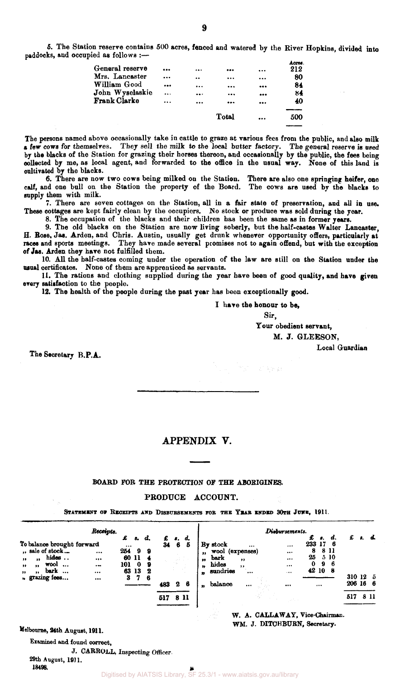**5. The Station reserve contains 500 acres, fenced and watered by the River Hopkins, divided into paddocks, and occupied as follows :—** 

| General reserve |          | <br>                        |                         | Acres.<br>212 |
|-----------------|----------|-----------------------------|-------------------------|---------------|
| Mrs. Lancaster  | $\cdots$ | <br>                        |                         | 80            |
| William Good    |          | <br>                        | $\bullet\bullet\bullet$ | 84            |
| John Wyselaskie | $\cdots$ | <br>                        |                         | 84            |
| Frank Clarke    |          | <br>$\bullet\bullet\bullet$ |                         | 40            |
|                 |          |                             |                         |               |
|                 |          | Total                       |                         | 500           |

**The persons named above occasionally take in cattle to graze at various fees from the public, and also milk a few cows for themselves. They sell the milk to the local butter factory. The general reserve is used by the blacks of the Station for grazing their horses thereon, and occasionally by the public, the fees being collected by me, as local agent, and forwarded to the office in the usual way. None of this land is cultivated by the blacks.** 

**6. There are now two cows being milked on the Station. There are also one springing heifer, one calf, and one bull on the Station the property of the Board. The cows are used by the blacks to supply them with milk.** 

**7. There are seven cottages on the Station, all in a fair state of preservation, and all in use. These cottages are kept fairly clean by the occupiers. No stock or produce was sold during the year.** 

**8. The occupation of the blacks and their children has been the same as in former years.** 

**9. The old blacks on the Station are now living soberly, but the half-castes Walter Lancaster, H. Rose, Jas. Arden, and Chris. Austin, usually get drunk whenever opportunity offers, particularly at**  races and sports meetings. They have made several promises not to again offend, but with the exception **of Jas. Arden they have not fulfilled them.** 

**10. All the half-castes coming under the operation of the law are still on the Station under the usual certificates. None of them are apprenticed as servants.** 

**11. The rations and clothing supplied during the year have been of good quality, and have given every satisfaction to the people.** 

**12. The health of the people during the past year has been exceptionally good.** 

**I have the honour to be,** 

 $\mathcal{P}^{\text{in}}(\mathcal{G}^{\text{in}}) = \mathcal{L}^{\text{in}}(\mathcal{E}^{\text{in}}_{\text{c}}(\mathfrak{g},t))$ 

**Your obedient servant,** 

**M. J. GLEESON,** 

**Local Guardian** 

**The Secretary B.P.A.** 

#### APPENDIX V.

#### **BOARD FOR THE PROTECTION OF THE ABORIGINES.**

### **PRODUCE ACCOUNT.**

STATEMENT OF RECEIPTS AND DISBURSEMENTS FOR THE YEAR ENDED 30TH JUNE, 1911.

| To balance brought forward<br>", sale of stock                                                        | Receipts.<br>         | £<br>$\cdots$<br>254 | 8.<br>9                    | d.<br>9     | 34 6 | $\mathbf{s}$ . | d.<br>5 | $^{\bullet}$                   | By stock<br>wool (expenses) |                              | Diebursements.<br>$\cdots$<br> | £<br>8.<br>17<br>233<br>8 | - 6<br>8 11      | £               |      |
|-------------------------------------------------------------------------------------------------------|-----------------------|----------------------|----------------------------|-------------|------|----------------|---------|--------------------------------|-----------------------------|------------------------------|--------------------------------|---------------------------|------------------|-----------------|------|
| hides<br>,,<br>,,<br>wool<br>$\ddotsc$<br>,,<br>,,<br>bark<br>$\ddotsc$<br>,,<br>,,<br>" grazing fees | <br>$\bullet$<br><br> | 101<br>63<br>3       | 60 11<br>$\mathbf 0$<br>13 | 9<br>2<br>6 |      |                |         | $^{\bullet\bullet}$<br>,,<br>m | bark<br>hides<br>sundries   | $, \,$<br>$, \,$<br>$\cdots$ | <br><br>1.4.4                  | 25<br>9<br>0<br>42 10     | 5 10<br>-6<br>-8 | 310 12 5        |      |
|                                                                                                       |                       |                      |                            |             | 483  | 2              | 6       | 99                             | balance                     |                              |                                |                           |                  | 206 16 6<br>517 | 8 11 |
|                                                                                                       |                       |                      |                            |             | 517  |                | 8 11    |                                |                             |                              |                                |                           |                  |                 |      |

**W. A. CALLAWAY, Vice-Chairman. WM. J. DITCHBURN, Secretary.** 

**Melbourne, 24th August, 1911.** 

**Examined and found correct,** 

**J. CARROLL, Inspecting Officer** 

**29th August, 1911. 18498.** 

**Sir,**